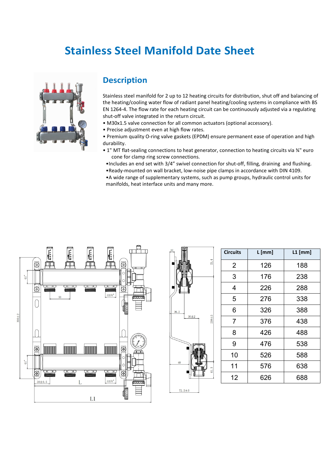## **Stainless Steel Manifold Date Sheet**



## **Description**

Stainless steel manifold for 2 up to 12 heating circuits for distribution, shut off and balancing of the heating/cooling water flow of radiant panel heating/cooling systems in compliance with BS EN 1264-4. The flow rate for each heating circuit can be continuously adjusted via a regulating shut-off valve integrated in the return circuit.

- M30x1.5 valve connection for all common actuators (optional accessory).
- Precise adjustment even at high flow rates.

• Premium quality O-ring valve gaskets (EPDM) ensure permanent ease of operation and high durability.

• 1" MT flat-sealing connections to heat generator, connection to heating circuits via ¾" euro cone for clamp ring screw connections.

•Includes an end set with 3/4" swivel connection for shut-off, filling, draining and flushing. •Ready-mounted on wall bracket, low-noise pipe clamps in accordance with DIN 4109.

•A wide range of supplementary systems, such as pump groups, hydraulic control units for manifolds, heat interface units and many more.





| <b>Circuits</b> | $L$ [mm] | $L1$ [mm] |
|-----------------|----------|-----------|
| $\overline{2}$  | 126      | 188       |
| 3               | 176      | 238       |
| 4               | 226      | 288       |
| 5               | 276      | 338       |
| 6               | 326      | 388       |
| $\overline{7}$  | 376      | 438       |
| 8               | 426      | 488       |
| 9               | 476      | 538       |
| 10              | 526      | 588       |
| 11              | 576      | 638       |
| 12              | 626      | 688       |